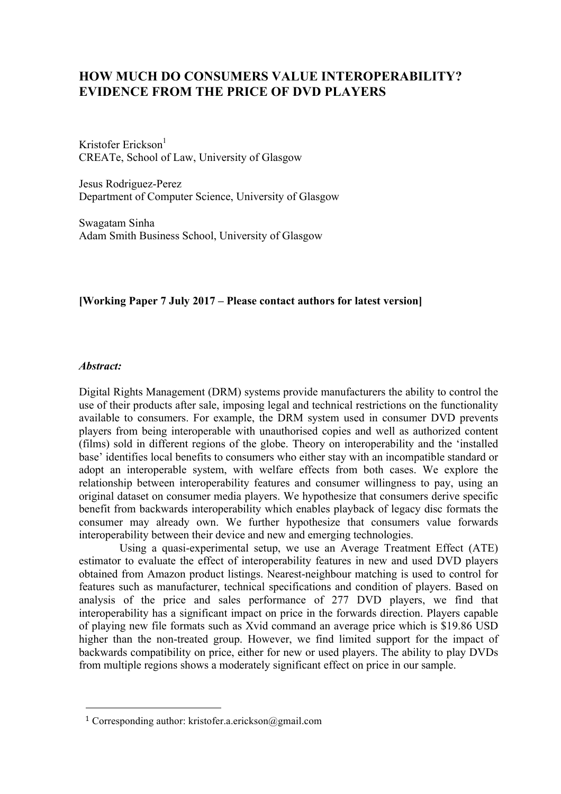# **HOW MUCH DO CONSUMERS VALUE INTEROPERABILITY? EVIDENCE FROM THE PRICE OF DVD PLAYERS**

Kristofer Erickson $<sup>1</sup>$ </sup> CREATe, School of Law, University of Glasgow

Jesus Rodriguez-Perez Department of Computer Science, University of Glasgow

Swagatam Sinha Adam Smith Business School, University of Glasgow

#### **[Working Paper 7 July 2017 – Please contact authors for latest version]**

#### *Abstract:*

Digital Rights Management (DRM) systems provide manufacturers the ability to control the use of their products after sale, imposing legal and technical restrictions on the functionality available to consumers. For example, the DRM system used in consumer DVD prevents players from being interoperable with unauthorised copies and well as authorized content (films) sold in different regions of the globe. Theory on interoperability and the 'installed base' identifies local benefits to consumers who either stay with an incompatible standard or adopt an interoperable system, with welfare effects from both cases. We explore the relationship between interoperability features and consumer willingness to pay, using an original dataset on consumer media players. We hypothesize that consumers derive specific benefit from backwards interoperability which enables playback of legacy disc formats the consumer may already own. We further hypothesize that consumers value forwards interoperability between their device and new and emerging technologies.

Using a quasi-experimental setup, we use an Average Treatment Effect (ATE) estimator to evaluate the effect of interoperability features in new and used DVD players obtained from Amazon product listings. Nearest-neighbour matching is used to control for features such as manufacturer, technical specifications and condition of players. Based on analysis of the price and sales performance of 277 DVD players, we find that interoperability has a significant impact on price in the forwards direction. Players capable of playing new file formats such as Xvid command an average price which is \$19.86 USD higher than the non-treated group. However, we find limited support for the impact of backwards compatibility on price, either for new or used players. The ability to play DVDs from multiple regions shows a moderately significant effect on price in our sample.

<u> 1989 - Jan Samuel Barbara, politik eta politik eta politik eta politik eta politik eta politik eta politik e</u>

<sup>&</sup>lt;sup>1</sup> Corresponding author: kristofer.a.erickson@gmail.com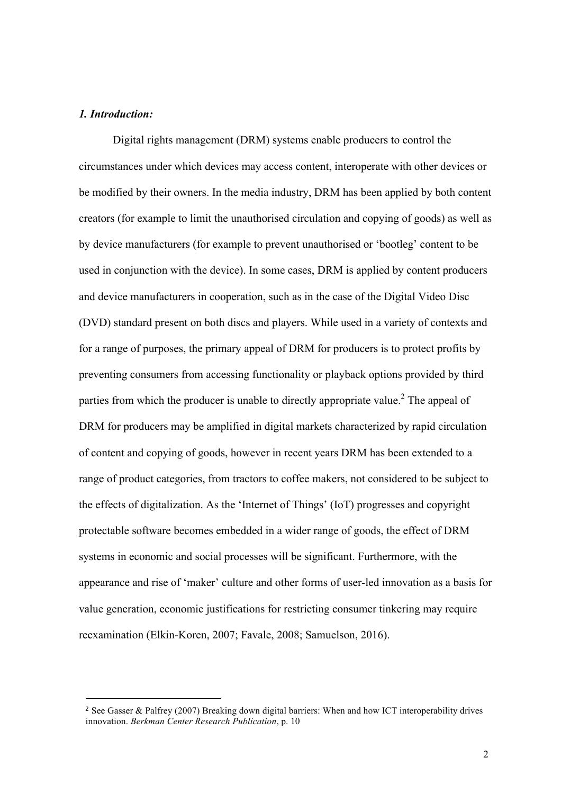#### *1. Introduction:*

Digital rights management (DRM) systems enable producers to control the circumstances under which devices may access content, interoperate with other devices or be modified by their owners. In the media industry, DRM has been applied by both content creators (for example to limit the unauthorised circulation and copying of goods) as well as by device manufacturers (for example to prevent unauthorised or 'bootleg' content to be used in conjunction with the device). In some cases, DRM is applied by content producers and device manufacturers in cooperation, such as in the case of the Digital Video Disc (DVD) standard present on both discs and players. While used in a variety of contexts and for a range of purposes, the primary appeal of DRM for producers is to protect profits by preventing consumers from accessing functionality or playback options provided by third parties from which the producer is unable to directly appropriate value.<sup>2</sup> The appeal of DRM for producers may be amplified in digital markets characterized by rapid circulation of content and copying of goods, however in recent years DRM has been extended to a range of product categories, from tractors to coffee makers, not considered to be subject to the effects of digitalization. As the 'Internet of Things' (IoT) progresses and copyright protectable software becomes embedded in a wider range of goods, the effect of DRM systems in economic and social processes will be significant. Furthermore, with the appearance and rise of 'maker' culture and other forms of user-led innovation as a basis for value generation, economic justifications for restricting consumer tinkering may require reexamination (Elkin-Koren, 2007; Favale, 2008; Samuelson, 2016).

<sup>2</sup> See Gasser & Palfrey (2007) Breaking down digital barriers: When and how ICT interoperability drives innovation. *Berkman Center Research Publication*, p. 10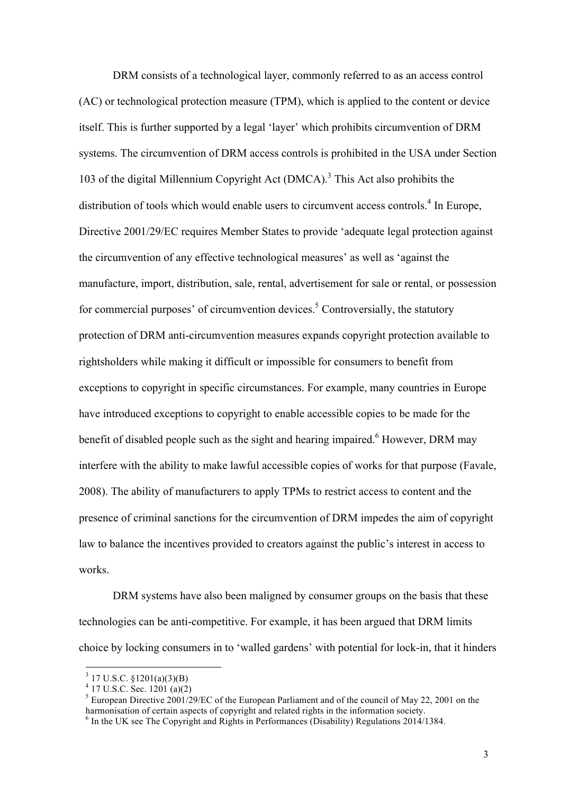DRM consists of a technological layer, commonly referred to as an access control (AC) or technological protection measure (TPM), which is applied to the content or device itself. This is further supported by a legal 'layer' which prohibits circumvention of DRM systems. The circumvention of DRM access controls is prohibited in the USA under Section 103 of the digital Millennium Copyright Act (DMCA).3 This Act also prohibits the distribution of tools which would enable users to circumvent access controls.<sup>4</sup> In Europe, Directive 2001/29/EC requires Member States to provide 'adequate legal protection against the circumvention of any effective technological measures' as well as 'against the manufacture, import, distribution, sale, rental, advertisement for sale or rental, or possession for commercial purposes' of circumvention devices.<sup>5</sup> Controversially, the statutory protection of DRM anti-circumvention measures expands copyright protection available to rightsholders while making it difficult or impossible for consumers to benefit from exceptions to copyright in specific circumstances. For example, many countries in Europe have introduced exceptions to copyright to enable accessible copies to be made for the benefit of disabled people such as the sight and hearing impaired.<sup>6</sup> However, DRM may interfere with the ability to make lawful accessible copies of works for that purpose (Favale, 2008). The ability of manufacturers to apply TPMs to restrict access to content and the presence of criminal sanctions for the circumvention of DRM impedes the aim of copyright law to balance the incentives provided to creators against the public's interest in access to works.

DRM systems have also been maligned by consumer groups on the basis that these technologies can be anti-competitive. For example, it has been argued that DRM limits choice by locking consumers in to 'walled gardens' with potential for lock-in, that it hinders

 $3$  17 U.S.C. §1201(a)(3)(B)

 $4$  17 U.S.C. Sec. 1201 (a)(2)

<sup>&</sup>lt;sup>5</sup> European Directive 2001/29/EC of the European Parliament and of the council of May 22, 2001 on the harmonisation of certain aspects of copyright and related rights in the information society.<br><sup>6</sup> In the UK see The Copyright and Rights in Performances (Disability) Regulations 2014/1384.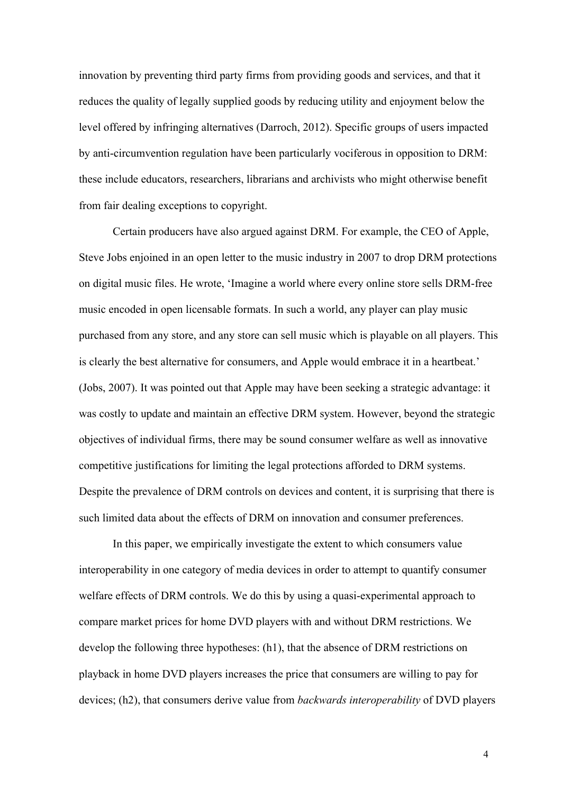innovation by preventing third party firms from providing goods and services, and that it reduces the quality of legally supplied goods by reducing utility and enjoyment below the level offered by infringing alternatives (Darroch, 2012). Specific groups of users impacted by anti-circumvention regulation have been particularly vociferous in opposition to DRM: these include educators, researchers, librarians and archivists who might otherwise benefit from fair dealing exceptions to copyright.

Certain producers have also argued against DRM. For example, the CEO of Apple, Steve Jobs enjoined in an open letter to the music industry in 2007 to drop DRM protections on digital music files. He wrote, 'Imagine a world where every online store sells DRM-free music encoded in open licensable formats. In such a world, any player can play music purchased from any store, and any store can sell music which is playable on all players. This is clearly the best alternative for consumers, and Apple would embrace it in a heartbeat.' (Jobs, 2007). It was pointed out that Apple may have been seeking a strategic advantage: it was costly to update and maintain an effective DRM system. However, beyond the strategic objectives of individual firms, there may be sound consumer welfare as well as innovative competitive justifications for limiting the legal protections afforded to DRM systems. Despite the prevalence of DRM controls on devices and content, it is surprising that there is such limited data about the effects of DRM on innovation and consumer preferences.

In this paper, we empirically investigate the extent to which consumers value interoperability in one category of media devices in order to attempt to quantify consumer welfare effects of DRM controls. We do this by using a quasi-experimental approach to compare market prices for home DVD players with and without DRM restrictions. We develop the following three hypotheses: (h1), that the absence of DRM restrictions on playback in home DVD players increases the price that consumers are willing to pay for devices; (h2), that consumers derive value from *backwards interoperability* of DVD players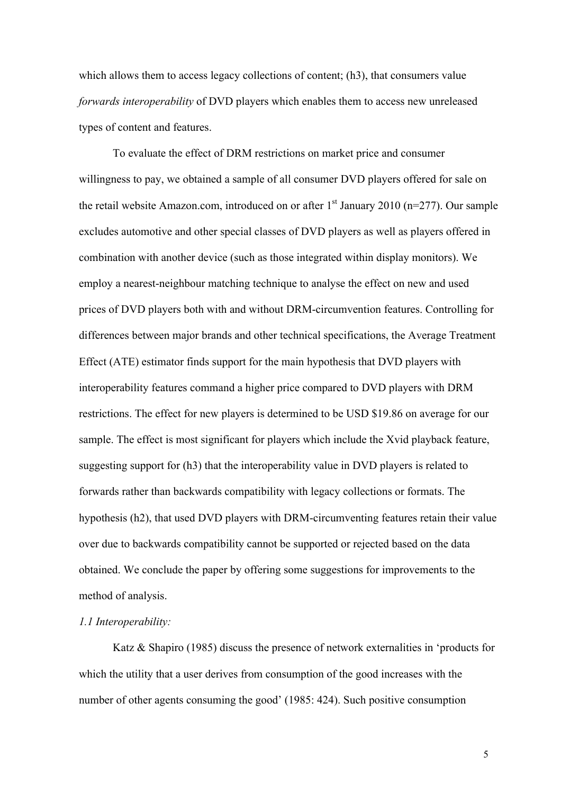which allows them to access legacy collections of content; (h3), that consumers value *forwards interoperability* of DVD players which enables them to access new unreleased types of content and features.

To evaluate the effect of DRM restrictions on market price and consumer willingness to pay, we obtained a sample of all consumer DVD players offered for sale on the retail website Amazon.com, introduced on or after  $1<sup>st</sup>$  January 2010 (n=277). Our sample excludes automotive and other special classes of DVD players as well as players offered in combination with another device (such as those integrated within display monitors). We employ a nearest-neighbour matching technique to analyse the effect on new and used prices of DVD players both with and without DRM-circumvention features. Controlling for differences between major brands and other technical specifications, the Average Treatment Effect (ATE) estimator finds support for the main hypothesis that DVD players with interoperability features command a higher price compared to DVD players with DRM restrictions. The effect for new players is determined to be USD \$19.86 on average for our sample. The effect is most significant for players which include the Xvid playback feature, suggesting support for (h3) that the interoperability value in DVD players is related to forwards rather than backwards compatibility with legacy collections or formats. The hypothesis (h2), that used DVD players with DRM-circumventing features retain their value over due to backwards compatibility cannot be supported or rejected based on the data obtained. We conclude the paper by offering some suggestions for improvements to the method of analysis.

#### *1.1 Interoperability:*

Katz & Shapiro (1985) discuss the presence of network externalities in 'products for which the utility that a user derives from consumption of the good increases with the number of other agents consuming the good' (1985: 424). Such positive consumption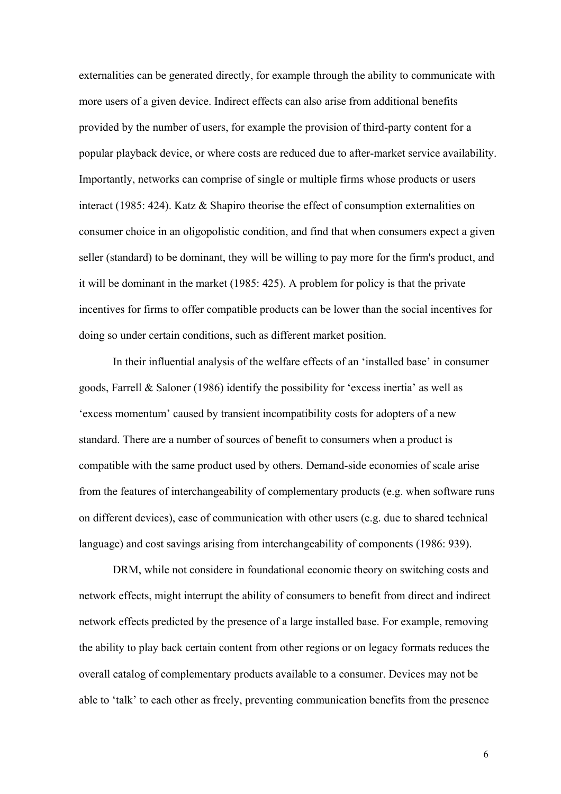externalities can be generated directly, for example through the ability to communicate with more users of a given device. Indirect effects can also arise from additional benefits provided by the number of users, for example the provision of third-party content for a popular playback device, or where costs are reduced due to after-market service availability. Importantly, networks can comprise of single or multiple firms whose products or users interact (1985: 424). Katz & Shapiro theorise the effect of consumption externalities on consumer choice in an oligopolistic condition, and find that when consumers expect a given seller (standard) to be dominant, they will be willing to pay more for the firm's product, and it will be dominant in the market (1985: 425). A problem for policy is that the private incentives for firms to offer compatible products can be lower than the social incentives for doing so under certain conditions, such as different market position.

In their influential analysis of the welfare effects of an 'installed base' in consumer goods, Farrell & Saloner (1986) identify the possibility for 'excess inertia' as well as 'excess momentum' caused by transient incompatibility costs for adopters of a new standard. There are a number of sources of benefit to consumers when a product is compatible with the same product used by others. Demand-side economies of scale arise from the features of interchangeability of complementary products (e.g. when software runs on different devices), ease of communication with other users (e.g. due to shared technical language) and cost savings arising from interchangeability of components (1986: 939).

DRM, while not considere in foundational economic theory on switching costs and network effects, might interrupt the ability of consumers to benefit from direct and indirect network effects predicted by the presence of a large installed base. For example, removing the ability to play back certain content from other regions or on legacy formats reduces the overall catalog of complementary products available to a consumer. Devices may not be able to 'talk' to each other as freely, preventing communication benefits from the presence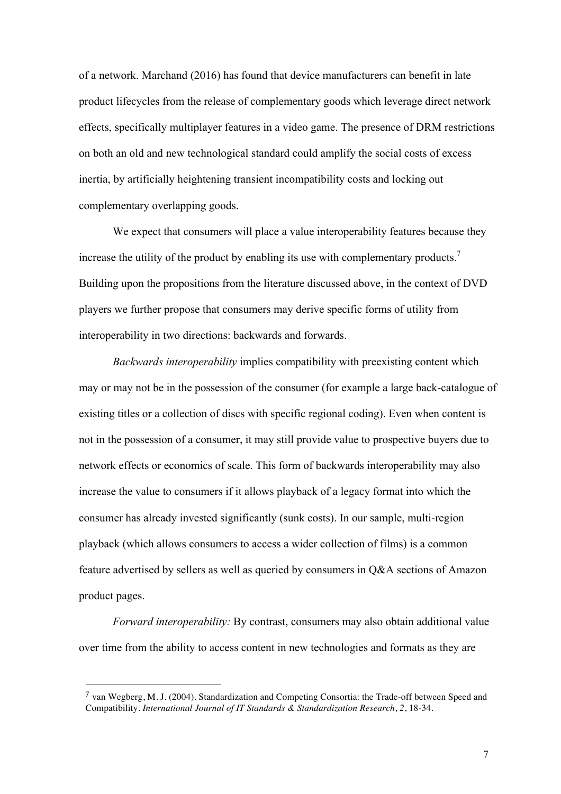of a network. Marchand (2016) has found that device manufacturers can benefit in late product lifecycles from the release of complementary goods which leverage direct network effects, specifically multiplayer features in a video game. The presence of DRM restrictions on both an old and new technological standard could amplify the social costs of excess inertia, by artificially heightening transient incompatibility costs and locking out complementary overlapping goods.

We expect that consumers will place a value interoperability features because they increase the utility of the product by enabling its use with complementary products.<sup>7</sup> Building upon the propositions from the literature discussed above, in the context of DVD players we further propose that consumers may derive specific forms of utility from interoperability in two directions: backwards and forwards.

*Backwards interoperability* implies compatibility with preexisting content which may or may not be in the possession of the consumer (for example a large back-catalogue of existing titles or a collection of discs with specific regional coding). Even when content is not in the possession of a consumer, it may still provide value to prospective buyers due to network effects or economics of scale. This form of backwards interoperability may also increase the value to consumers if it allows playback of a legacy format into which the consumer has already invested significantly (sunk costs). In our sample, multi-region playback (which allows consumers to access a wider collection of films) is a common feature advertised by sellers as well as queried by consumers in Q&A sections of Amazon product pages.

*Forward interoperability:* By contrast, consumers may also obtain additional value over time from the ability to access content in new technologies and formats as they are

<sup>7</sup> van Wegberg, M. J. (2004). Standardization and Competing Consortia: the Trade-off between Speed and Compatibility. *International Journal of IT Standards & Standardization Research*, *2*, 18-34.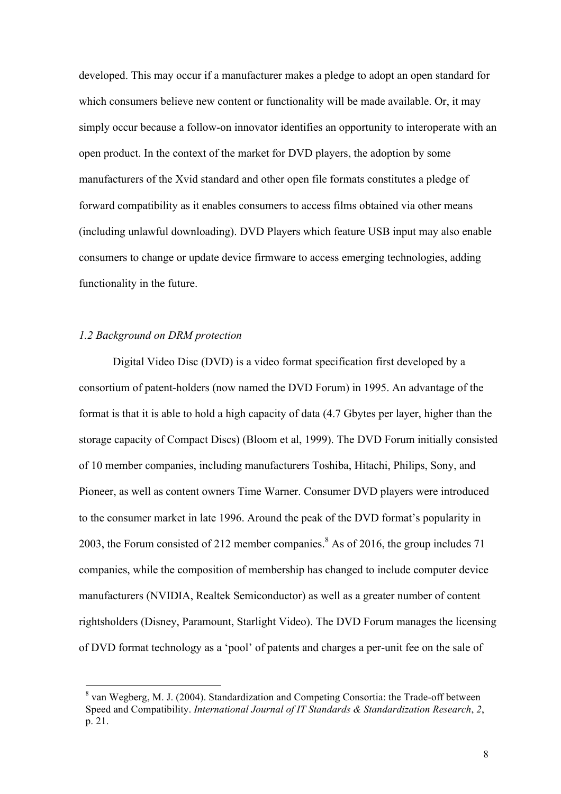developed. This may occur if a manufacturer makes a pledge to adopt an open standard for which consumers believe new content or functionality will be made available. Or, it may simply occur because a follow-on innovator identifies an opportunity to interoperate with an open product. In the context of the market for DVD players, the adoption by some manufacturers of the Xvid standard and other open file formats constitutes a pledge of forward compatibility as it enables consumers to access films obtained via other means (including unlawful downloading). DVD Players which feature USB input may also enable consumers to change or update device firmware to access emerging technologies, adding functionality in the future.

#### *1.2 Background on DRM protection*

Digital Video Disc (DVD) is a video format specification first developed by a consortium of patent-holders (now named the DVD Forum) in 1995. An advantage of the format is that it is able to hold a high capacity of data (4.7 Gbytes per layer, higher than the storage capacity of Compact Discs) (Bloom et al, 1999). The DVD Forum initially consisted of 10 member companies, including manufacturers Toshiba, Hitachi, Philips, Sony, and Pioneer, as well as content owners Time Warner. Consumer DVD players were introduced to the consumer market in late 1996. Around the peak of the DVD format's popularity in 2003, the Forum consisted of 212 member companies.<sup>8</sup> As of 2016, the group includes 71 companies, while the composition of membership has changed to include computer device manufacturers (NVIDIA, Realtek Semiconductor) as well as a greater number of content rightsholders (Disney, Paramount, Starlight Video). The DVD Forum manages the licensing of DVD format technology as a 'pool' of patents and charges a per-unit fee on the sale of

 <sup>8</sup> van Wegberg, M. J. (2004). Standardization and Competing Consortia: the Trade-off between Speed and Compatibility. *International Journal of IT Standards & Standardization Research*, *2*, p. 21.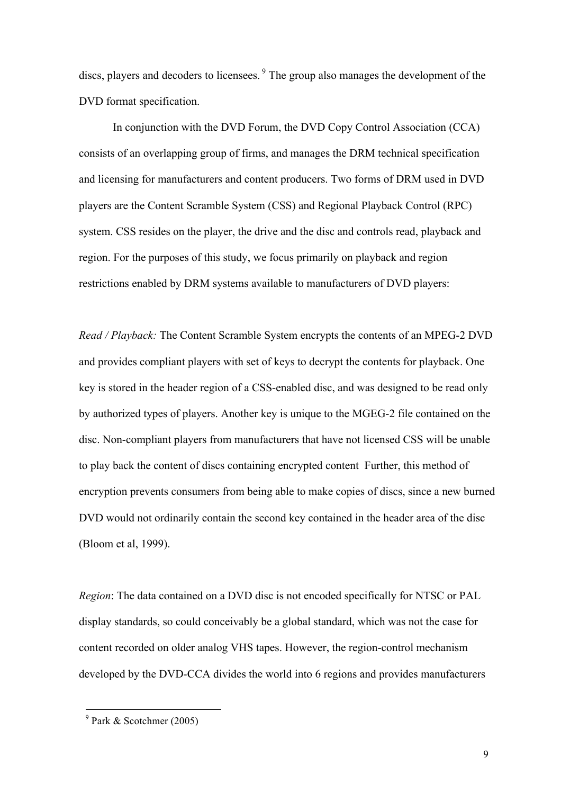discs, players and decoders to licensees. <sup>9</sup> The group also manages the development of the DVD format specification.

In conjunction with the DVD Forum, the DVD Copy Control Association (CCA) consists of an overlapping group of firms, and manages the DRM technical specification and licensing for manufacturers and content producers. Two forms of DRM used in DVD players are the Content Scramble System (CSS) and Regional Playback Control (RPC) system. CSS resides on the player, the drive and the disc and controls read, playback and region. For the purposes of this study, we focus primarily on playback and region restrictions enabled by DRM systems available to manufacturers of DVD players:

*Read / Playback:* The Content Scramble System encrypts the contents of an MPEG-2 DVD and provides compliant players with set of keys to decrypt the contents for playback. One key is stored in the header region of a CSS-enabled disc, and was designed to be read only by authorized types of players. Another key is unique to the MGEG-2 file contained on the disc. Non-compliant players from manufacturers that have not licensed CSS will be unable to play back the content of discs containing encrypted content Further, this method of encryption prevents consumers from being able to make copies of discs, since a new burned DVD would not ordinarily contain the second key contained in the header area of the disc (Bloom et al, 1999).

*Region*: The data contained on a DVD disc is not encoded specifically for NTSC or PAL display standards, so could conceivably be a global standard, which was not the case for content recorded on older analog VHS tapes. However, the region-control mechanism developed by the DVD-CCA divides the world into 6 regions and provides manufacturers

<sup>9</sup> Park & Scotchmer (2005)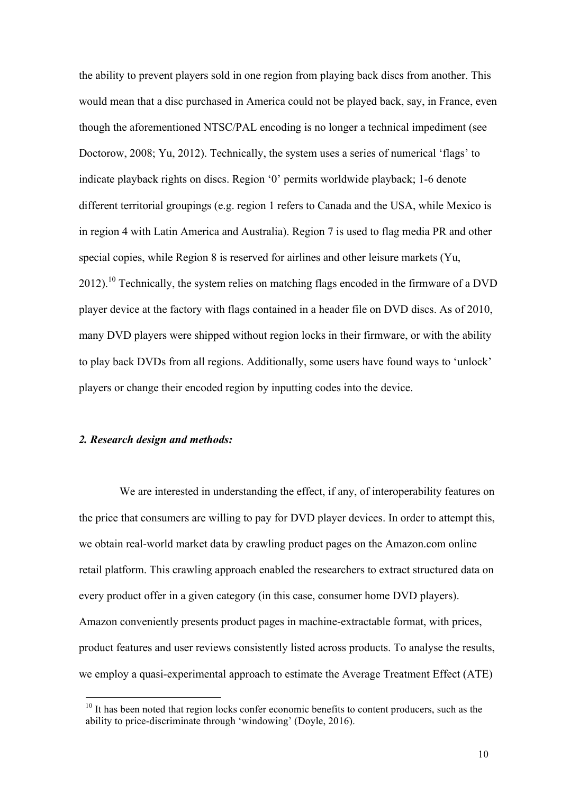the ability to prevent players sold in one region from playing back discs from another. This would mean that a disc purchased in America could not be played back, say, in France, even though the aforementioned NTSC/PAL encoding is no longer a technical impediment (see Doctorow, 2008; Yu, 2012). Technically, the system uses a series of numerical 'flags' to indicate playback rights on discs. Region '0' permits worldwide playback; 1-6 denote different territorial groupings (e.g. region 1 refers to Canada and the USA, while Mexico is in region 4 with Latin America and Australia). Region 7 is used to flag media PR and other special copies, while Region 8 is reserved for airlines and other leisure markets (Yu, 2012).<sup>10</sup> Technically, the system relies on matching flags encoded in the firmware of a DVD player device at the factory with flags contained in a header file on DVD discs. As of 2010, many DVD players were shipped without region locks in their firmware, or with the ability to play back DVDs from all regions. Additionally, some users have found ways to 'unlock' players or change their encoded region by inputting codes into the device.

## *2. Research design and methods:*

 

We are interested in understanding the effect, if any, of interoperability features on the price that consumers are willing to pay for DVD player devices. In order to attempt this, we obtain real-world market data by crawling product pages on the Amazon.com online retail platform. This crawling approach enabled the researchers to extract structured data on every product offer in a given category (in this case, consumer home DVD players). Amazon conveniently presents product pages in machine-extractable format, with prices, product features and user reviews consistently listed across products. To analyse the results, we employ a quasi-experimental approach to estimate the Average Treatment Effect (ATE)

 $10$  It has been noted that region locks confer economic benefits to content producers, such as the ability to price-discriminate through 'windowing' (Doyle, 2016).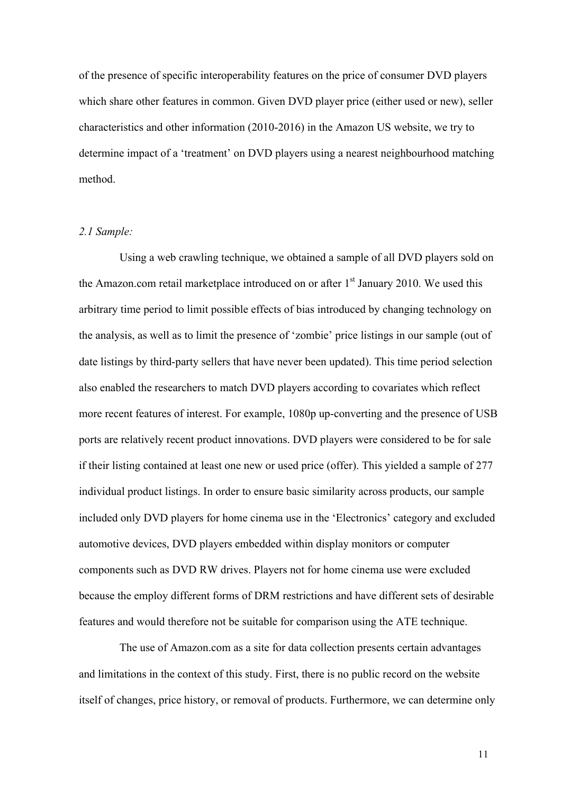of the presence of specific interoperability features on the price of consumer DVD players which share other features in common. Given DVD player price (either used or new), seller characteristics and other information (2010-2016) in the Amazon US website, we try to determine impact of a 'treatment' on DVD players using a nearest neighbourhood matching method.

## *2.1 Sample:*

Using a web crawling technique, we obtained a sample of all DVD players sold on the Amazon.com retail marketplace introduced on or after  $1<sup>st</sup>$  January 2010. We used this arbitrary time period to limit possible effects of bias introduced by changing technology on the analysis, as well as to limit the presence of 'zombie' price listings in our sample (out of date listings by third-party sellers that have never been updated). This time period selection also enabled the researchers to match DVD players according to covariates which reflect more recent features of interest. For example, 1080p up-converting and the presence of USB ports are relatively recent product innovations. DVD players were considered to be for sale if their listing contained at least one new or used price (offer). This yielded a sample of 277 individual product listings. In order to ensure basic similarity across products, our sample included only DVD players for home cinema use in the 'Electronics' category and excluded automotive devices, DVD players embedded within display monitors or computer components such as DVD RW drives. Players not for home cinema use were excluded because the employ different forms of DRM restrictions and have different sets of desirable features and would therefore not be suitable for comparison using the ATE technique.

The use of Amazon.com as a site for data collection presents certain advantages and limitations in the context of this study. First, there is no public record on the website itself of changes, price history, or removal of products. Furthermore, we can determine only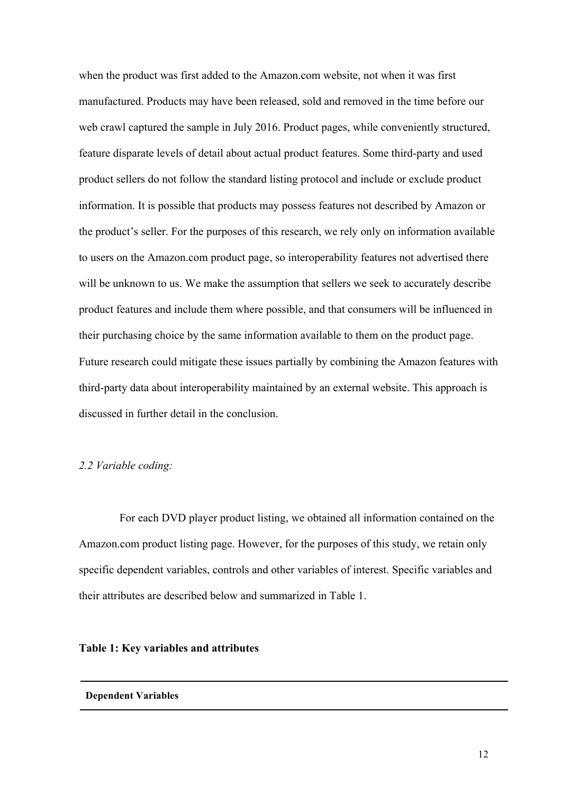when the product was first added to the Amazon.com website, not when it was first manufactured. Products may have been released, sold and removed in the time before our web crawl captured the sample in July 2016. Product pages, while conveniently structured, feature disparate levels of detail about actual product features. Some third-party and used product sellers do not follow the standard listing protocol and include or exclude product information. It is possible that products may possess features not described by Amazon or the product's seller. For the purposes of this research, we rely only on information available to users on the Amazon.com product page, so interoperability features not advertised there will be unknown to us. We make the assumption that sellers we seek to accurately describe product features and include them where possible, and that consumers will be influenced in their purchasing choice by the same information available to them on the product page. Future research could mitigate these issues partially by combining the Amazon features with third-party data about interoperability maintained by an external website. This approach is discussed in further detail in the conclusion.

#### *2.2 Variable coding:*

For each DVD player product listing, we obtained all information contained on the Amazon.com product listing page. However, for the purposes of this study, we retain only specific dependent variables, controls and other variables of interest. Specific variables and their attributes are described below and summarized in Table 1.

#### **Table 1: Key variables and attributes**

#### **Dependent Variables**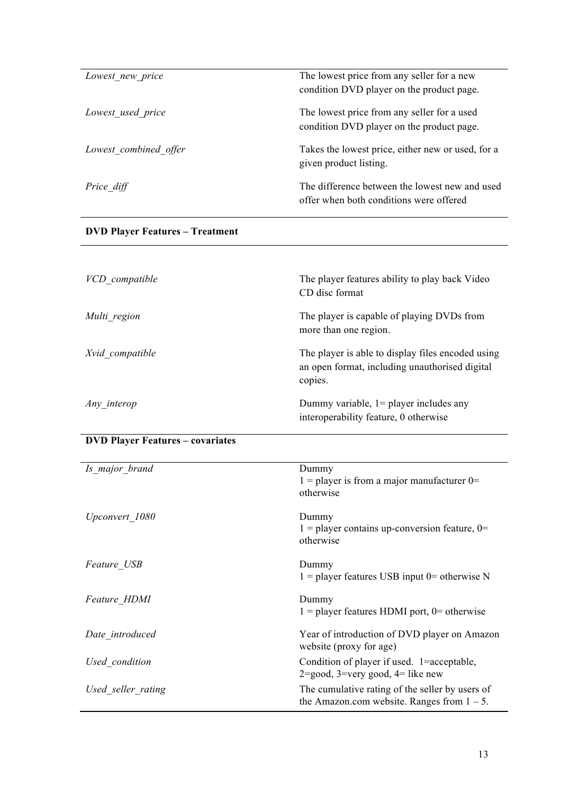| Lowest new price      | The lowest price from any seller for a new<br>condition DVD player on the product page.   |
|-----------------------|-------------------------------------------------------------------------------------------|
| Lowest used price     | The lowest price from any seller for a used<br>condition DVD player on the product page.  |
| Lowest combined offer | Takes the lowest price, either new or used, for a<br>given product listing.               |
| Price diff            | The difference between the lowest new and used<br>offer when both conditions were offered |

# **DVD Player Features – Treatment**

| VCD compatible  | The player features ability to play back Video<br>CD disc format                                               |
|-----------------|----------------------------------------------------------------------------------------------------------------|
| Multi region    | The player is capable of playing DVDs from<br>more than one region.                                            |
| Xvid compatible | The player is able to display files encoded using<br>an open format, including unauthorised digital<br>copies. |
| Any interop     | Dummy variable, $1 =$ player includes any<br>interoperability feature, 0 otherwise                             |

# **DVD Player Features – covariates**

| Is major brand     | Dummy<br>$1 =$ player is from a major manufacturer 0=<br>otherwise                                         |
|--------------------|------------------------------------------------------------------------------------------------------------|
| Upconvert 1080     | Dummy<br>$1 =$ player contains up-conversion feature, 0=<br>otherwise                                      |
| Feature USB        | Dummy<br>$1 =$ player features USB input 0= otherwise N                                                    |
| Feature HDMI       | Dummy<br>$1 =$ player features HDMI port, 0= otherwise                                                     |
| Date introduced    | Year of introduction of DVD player on Amazon<br>website (proxy for age)                                    |
| Used condition     | Condition of player if used. 1=acceptable,<br>$2 = \text{good}, 3 = \text{very good}, 4 = \text{like new}$ |
| Used seller rating | The cumulative rating of the seller by users of<br>the Amazon.com website. Ranges from $1 - 5$ .           |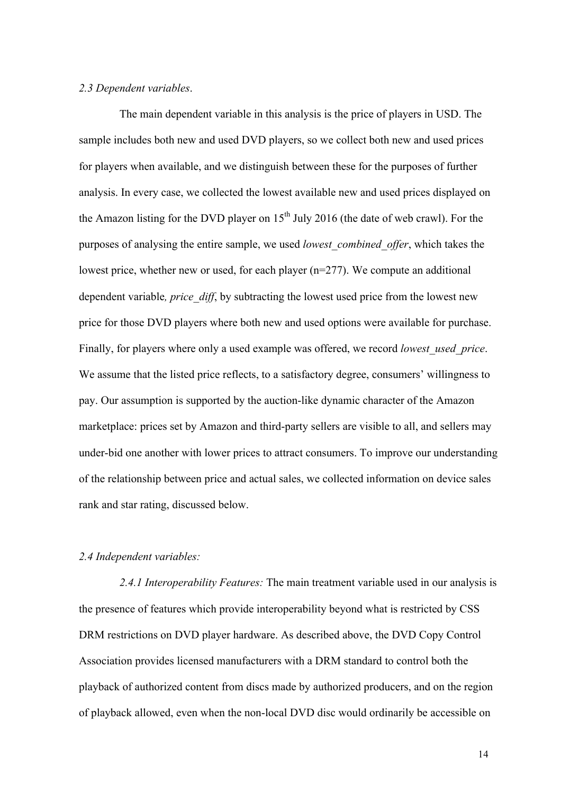#### *2.3 Dependent variables*.

The main dependent variable in this analysis is the price of players in USD. The sample includes both new and used DVD players, so we collect both new and used prices for players when available, and we distinguish between these for the purposes of further analysis. In every case, we collected the lowest available new and used prices displayed on the Amazon listing for the DVD player on  $15<sup>th</sup>$  July 2016 (the date of web crawl). For the purposes of analysing the entire sample, we used *lowest\_combined\_offer*, which takes the lowest price, whether new or used, for each player (n=277). We compute an additional dependent variable*, price\_diff*, by subtracting the lowest used price from the lowest new price for those DVD players where both new and used options were available for purchase. Finally, for players where only a used example was offered, we record *lowest\_used\_price*. We assume that the listed price reflects, to a satisfactory degree, consumers' willingness to pay. Our assumption is supported by the auction-like dynamic character of the Amazon marketplace: prices set by Amazon and third-party sellers are visible to all, and sellers may under-bid one another with lower prices to attract consumers. To improve our understanding of the relationship between price and actual sales, we collected information on device sales rank and star rating, discussed below.

#### *2.4 Independent variables:*

*2.4.1 Interoperability Features:* The main treatment variable used in our analysis is the presence of features which provide interoperability beyond what is restricted by CSS DRM restrictions on DVD player hardware. As described above, the DVD Copy Control Association provides licensed manufacturers with a DRM standard to control both the playback of authorized content from discs made by authorized producers, and on the region of playback allowed, even when the non-local DVD disc would ordinarily be accessible on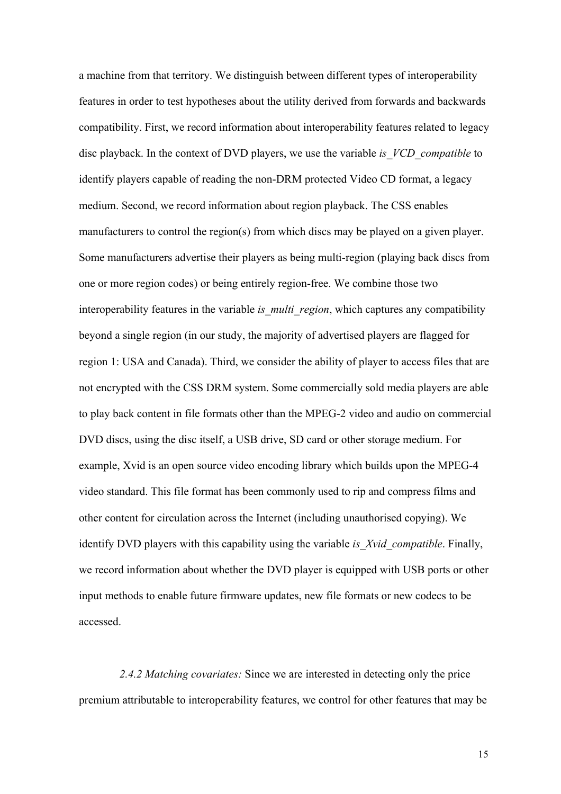a machine from that territory. We distinguish between different types of interoperability features in order to test hypotheses about the utility derived from forwards and backwards compatibility. First, we record information about interoperability features related to legacy disc playback. In the context of DVD players, we use the variable *is\_VCD\_compatible* to identify players capable of reading the non-DRM protected Video CD format, a legacy medium. Second, we record information about region playback. The CSS enables manufacturers to control the region(s) from which discs may be played on a given player. Some manufacturers advertise their players as being multi-region (playing back discs from one or more region codes) or being entirely region-free. We combine those two interoperability features in the variable *is multi region*, which captures any compatibility beyond a single region (in our study, the majority of advertised players are flagged for region 1: USA and Canada). Third, we consider the ability of player to access files that are not encrypted with the CSS DRM system. Some commercially sold media players are able to play back content in file formats other than the MPEG-2 video and audio on commercial DVD discs, using the disc itself, a USB drive, SD card or other storage medium. For example, Xvid is an open source video encoding library which builds upon the MPEG-4 video standard. This file format has been commonly used to rip and compress films and other content for circulation across the Internet (including unauthorised copying). We identify DVD players with this capability using the variable *is\_Xvid\_compatible*. Finally, we record information about whether the DVD player is equipped with USB ports or other input methods to enable future firmware updates, new file formats or new codecs to be accessed.

*2.4.2 Matching covariates:* Since we are interested in detecting only the price premium attributable to interoperability features, we control for other features that may be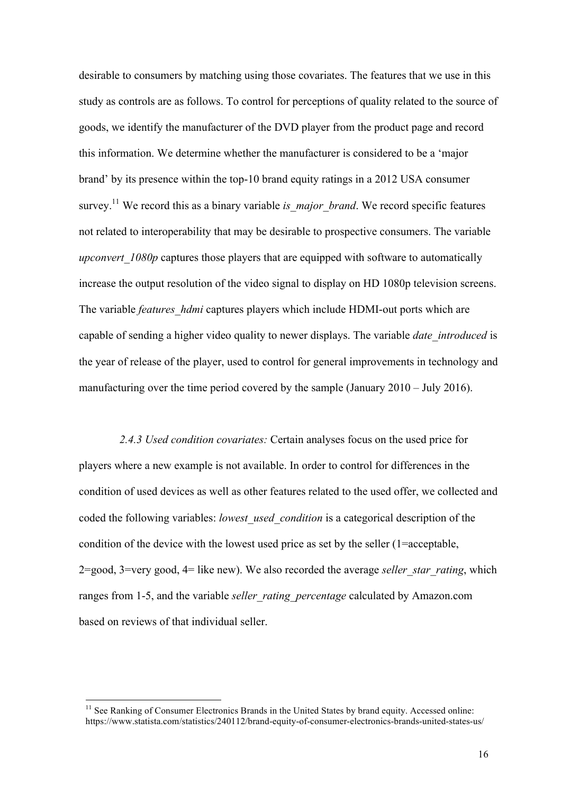desirable to consumers by matching using those covariates. The features that we use in this study as controls are as follows. To control for perceptions of quality related to the source of goods, we identify the manufacturer of the DVD player from the product page and record this information. We determine whether the manufacturer is considered to be a 'major brand' by its presence within the top-10 brand equity ratings in a 2012 USA consumer survey.<sup>11</sup> We record this as a binary variable *is major brand*. We record specific features not related to interoperability that may be desirable to prospective consumers. The variable *upconvert* 1080p captures those players that are equipped with software to automatically increase the output resolution of the video signal to display on HD 1080p television screens. The variable *features* hdmi captures players which include HDMI-out ports which are capable of sending a higher video quality to newer displays. The variable *date\_introduced* is the year of release of the player, used to control for general improvements in technology and manufacturing over the time period covered by the sample (January 2010 – July 2016).

*2.4.3 Used condition covariates:* Certain analyses focus on the used price for players where a new example is not available. In order to control for differences in the condition of used devices as well as other features related to the used offer, we collected and coded the following variables: *lowest\_used\_condition* is a categorical description of the condition of the device with the lowest used price as set by the seller (1=acceptable, 2=good, 3=very good, 4= like new). We also recorded the average *seller\_star\_rating*, which ranges from 1-5, and the variable *seller\_rating\_percentage* calculated by Amazon.com based on reviews of that individual seller.

<sup>&</sup>lt;sup>11</sup> See Ranking of Consumer Electronics Brands in the United States by brand equity. Accessed online: https://www.statista.com/statistics/240112/brand-equity-of-consumer-electronics-brands-united-states-us/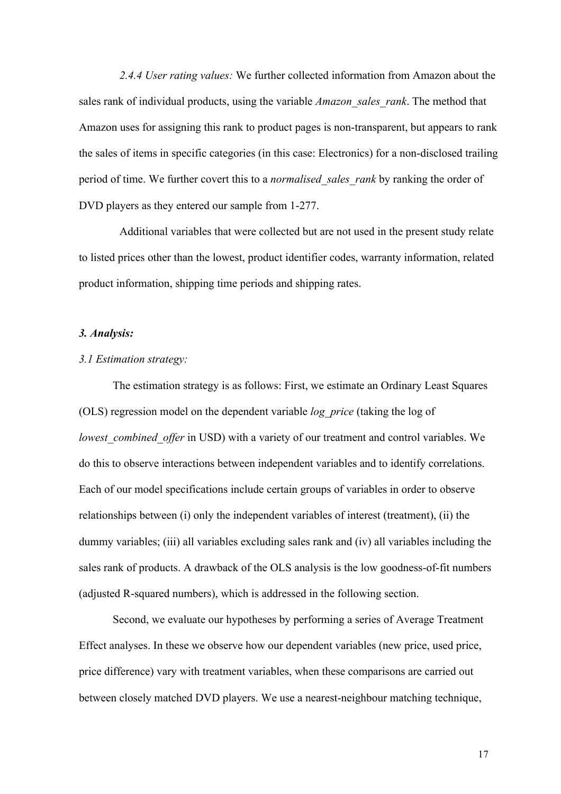*2.4.4 User rating values:* We further collected information from Amazon about the sales rank of individual products, using the variable *Amazon\_sales\_rank*. The method that Amazon uses for assigning this rank to product pages is non-transparent, but appears to rank the sales of items in specific categories (in this case: Electronics) for a non-disclosed trailing period of time. We further covert this to a *normalised\_sales\_rank* by ranking the order of DVD players as they entered our sample from 1-277.

Additional variables that were collected but are not used in the present study relate to listed prices other than the lowest, product identifier codes, warranty information, related product information, shipping time periods and shipping rates.

#### *3. Analysis:*

#### *3.1 Estimation strategy:*

The estimation strategy is as follows: First, we estimate an Ordinary Least Squares (OLS) regression model on the dependent variable *log\_price* (taking the log of *lowest\_combined\_offer* in USD) with a variety of our treatment and control variables. We do this to observe interactions between independent variables and to identify correlations. Each of our model specifications include certain groups of variables in order to observe relationships between (i) only the independent variables of interest (treatment), (ii) the dummy variables; (iii) all variables excluding sales rank and (iv) all variables including the sales rank of products. A drawback of the OLS analysis is the low goodness-of-fit numbers (adjusted R-squared numbers), which is addressed in the following section.

Second, we evaluate our hypotheses by performing a series of Average Treatment Effect analyses. In these we observe how our dependent variables (new price, used price, price difference) vary with treatment variables, when these comparisons are carried out between closely matched DVD players. We use a nearest-neighbour matching technique,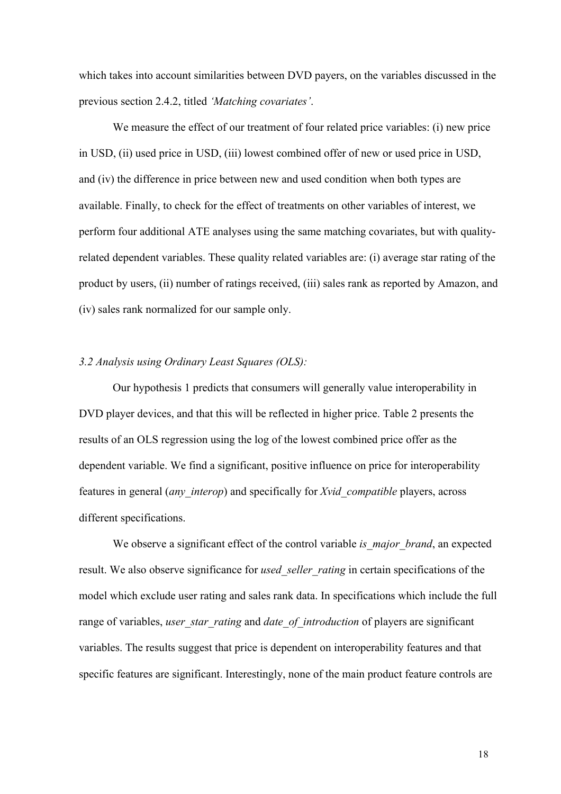which takes into account similarities between DVD payers, on the variables discussed in the previous section 2.4.2, titled *'Matching covariates'*.

We measure the effect of our treatment of four related price variables: (i) new price in USD, (ii) used price in USD, (iii) lowest combined offer of new or used price in USD, and (iv) the difference in price between new and used condition when both types are available. Finally, to check for the effect of treatments on other variables of interest, we perform four additional ATE analyses using the same matching covariates, but with qualityrelated dependent variables. These quality related variables are: (i) average star rating of the product by users, (ii) number of ratings received, (iii) sales rank as reported by Amazon, and (iv) sales rank normalized for our sample only.

#### *3.2 Analysis using Ordinary Least Squares (OLS):*

Our hypothesis 1 predicts that consumers will generally value interoperability in DVD player devices, and that this will be reflected in higher price. Table 2 presents the results of an OLS regression using the log of the lowest combined price offer as the dependent variable. We find a significant, positive influence on price for interoperability features in general (*any\_interop*) and specifically for *Xvid\_compatible* players, across different specifications.

We observe a significant effect of the control variable *is major brand*, an expected result. We also observe significance for *used* seller rating in certain specifications of the model which exclude user rating and sales rank data. In specifications which include the full range of variables, *user\_star\_rating* and *date\_of*\_*introduction* of players are significant variables. The results suggest that price is dependent on interoperability features and that specific features are significant. Interestingly, none of the main product feature controls are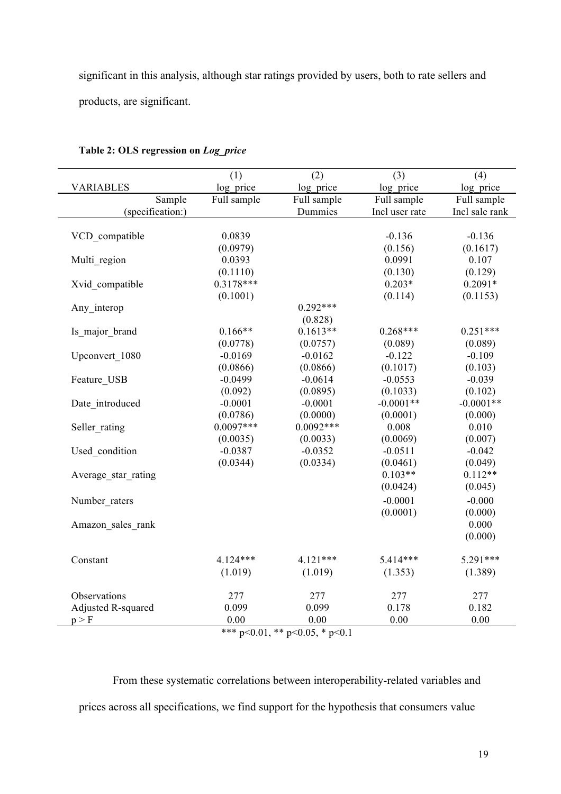significant in this analysis, although star ratings provided by users, both to rate sellers and products, are significant.

|                     | (1)                  | (2)                            | (3)            | (4)            |
|---------------------|----------------------|--------------------------------|----------------|----------------|
| <b>VARIABLES</b>    | log_price            | log price                      | log price      | log price      |
| Sample              | Full sample          | Full sample                    | Full sample    | Full sample    |
| (specification:)    |                      | Dummies                        | Incl user rate | Incl sale rank |
|                     |                      |                                |                |                |
| VCD compatible      | 0.0839               |                                | $-0.136$       | $-0.136$       |
|                     | (0.0979)             |                                | (0.156)        | (0.1617)       |
| Multi region        | 0.0393               |                                | 0.0991         | 0.107          |
|                     | (0.1110)             |                                | (0.130)        | (0.129)        |
| Xvid compatible     | $0.3178***$          |                                | $0.203*$       | $0.2091*$      |
|                     | (0.1001)             |                                | (0.114)        | (0.1153)       |
| Any interop         |                      | $0.292***$                     |                |                |
|                     |                      | (0.828)                        |                |                |
| Is major brand      | $0.166**$            | $0.1613**$                     | $0.268***$     | $0.251***$     |
|                     | (0.0778)             | (0.0757)                       | (0.089)        | (0.089)        |
| Upconvert 1080      | $-0.0169$            | $-0.0162$                      | $-0.122$       | $-0.109$       |
|                     | (0.0866)             | (0.0866)                       | (0.1017)       | (0.103)        |
| Feature USB         | $-0.0499$            | $-0.0614$                      | $-0.0553$      | $-0.039$       |
|                     | (0.092)              | (0.0895)                       | (0.1033)       | (0.102)        |
| Date introduced     | $-0.0001$            | $-0.0001$                      | $-0.0001**$    | $-0.0001**$    |
|                     | (0.0786)             | (0.0000)                       | (0.0001)       | (0.000)        |
| Seller rating       | $0.0097***$          | $0.0092***$                    | 0.008          | 0.010          |
|                     | (0.0035)             | (0.0033)                       | (0.0069)       | (0.007)        |
| Used condition      | $-0.0387$            | $-0.0352$                      | $-0.0511$      | $-0.042$       |
|                     | (0.0344)             | (0.0334)                       | (0.0461)       | (0.049)        |
| Average star rating |                      |                                | $0.103**$      | $0.112**$      |
|                     |                      |                                | (0.0424)       | (0.045)        |
| Number raters       |                      |                                | $-0.0001$      | $-0.000$       |
|                     |                      |                                | (0.0001)       | (0.000)        |
| Amazon sales rank   |                      |                                |                | 0.000          |
|                     |                      |                                |                | (0.000)        |
| Constant            | $4.124***$           | $4.121***$                     | $5.414***$     | $5.291***$     |
|                     |                      |                                |                |                |
|                     | (1.019)              | (1.019)                        | (1.353)        | (1.389)        |
| Observations        | 277                  | 277                            | 277            | 277            |
| Adjusted R-squared  | 0.099                | 0.099                          | 0.178          | 0.182          |
| p > F               | 0.00                 | 0.00                           | 0.00           | 0.00           |
|                     | أمله مله مله<br>0.01 | مالہ مالہ<br>0.07 <sup>4</sup> |                |                |

#### **Table 2: OLS regression on** *Log\_price*

\*\*\* p<0.01, \*\* p<0.05, \* p<0.1

From these systematic correlations between interoperability-related variables and prices across all specifications, we find support for the hypothesis that consumers value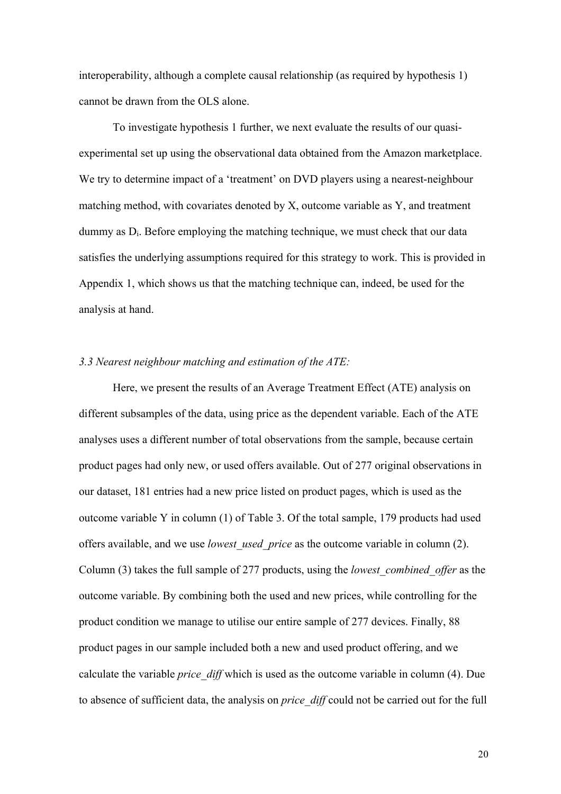interoperability, although a complete causal relationship (as required by hypothesis 1) cannot be drawn from the OLS alone.

To investigate hypothesis 1 further, we next evaluate the results of our quasiexperimental set up using the observational data obtained from the Amazon marketplace. We try to determine impact of a 'treatment' on DVD players using a nearest-neighbour matching method, with covariates denoted by X, outcome variable as Y, and treatment dummy as  $D_i$ . Before employing the matching technique, we must check that our data satisfies the underlying assumptions required for this strategy to work. This is provided in Appendix 1, which shows us that the matching technique can, indeed, be used for the analysis at hand.

#### *3.3 Nearest neighbour matching and estimation of the ATE:*

Here, we present the results of an Average Treatment Effect (ATE) analysis on different subsamples of the data, using price as the dependent variable. Each of the ATE analyses uses a different number of total observations from the sample, because certain product pages had only new, or used offers available. Out of 277 original observations in our dataset, 181 entries had a new price listed on product pages, which is used as the outcome variable Y in column (1) of Table 3. Of the total sample, 179 products had used offers available, and we use *lowest\_used\_price* as the outcome variable in column (2). Column (3) takes the full sample of 277 products, using the *lowest\_combined\_offer* as the outcome variable. By combining both the used and new prices, while controlling for the product condition we manage to utilise our entire sample of 277 devices. Finally, 88 product pages in our sample included both a new and used product offering, and we calculate the variable *price\_diff* which is used as the outcome variable in column (4). Due to absence of sufficient data, the analysis on *price\_diff* could not be carried out for the full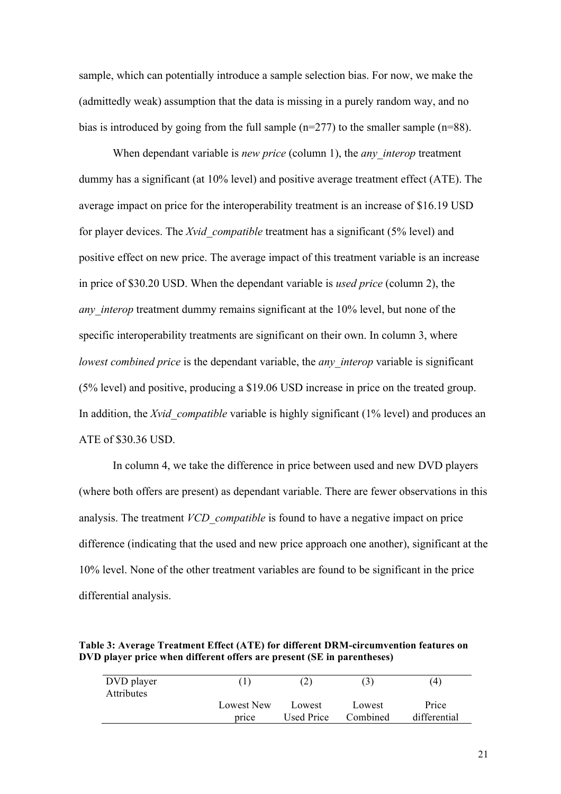sample, which can potentially introduce a sample selection bias. For now, we make the (admittedly weak) assumption that the data is missing in a purely random way, and no bias is introduced by going from the full sample (n=277) to the smaller sample (n=88).

When dependant variable is *new price* (column 1), the *any* interop treatment dummy has a significant (at 10% level) and positive average treatment effect (ATE). The average impact on price for the interoperability treatment is an increase of \$16.19 USD for player devices. The *Xvid\_compatible* treatment has a significant (5% level) and positive effect on new price. The average impact of this treatment variable is an increase in price of \$30.20 USD. When the dependant variable is *used price* (column 2), the *any interop* treatment dummy remains significant at the 10% level, but none of the specific interoperability treatments are significant on their own. In column 3, where *lowest combined price* is the dependant variable, the *any interop* variable is significant (5% level) and positive, producing a \$19.06 USD increase in price on the treated group. In addition, the *Xvid* compatible variable is highly significant (1% level) and produces an ATE of \$30.36 USD.

In column 4, we take the difference in price between used and new DVD players (where both offers are present) as dependant variable. There are fewer observations in this analysis. The treatment *VCD\_compatible* is found to have a negative impact on price difference (indicating that the used and new price approach one another), significant at the 10% level. None of the other treatment variables are found to be significant in the price differential analysis.

**Table 3: Average Treatment Effect (ATE) for different DRM-circumvention features on DVD player price when different offers are present (SE in parentheses)**

| DVD player<br><b>Attributes</b> |            |                   | $\mathfrak{z}$ | (4)          |
|---------------------------------|------------|-------------------|----------------|--------------|
|                                 | Lowest New | Lowest            | Lowest         | Price        |
|                                 | price      | <b>Used Price</b> | Combined       | differential |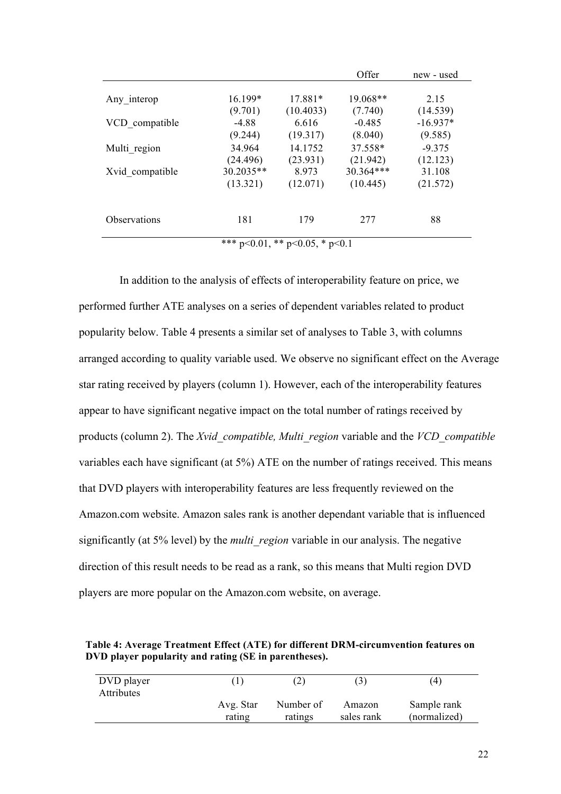|                                        |             |           | Offer      | new - used |
|----------------------------------------|-------------|-----------|------------|------------|
|                                        |             |           |            |            |
| Any interop                            | 16.199*     | 17.881*   | $19.068**$ | 2.15       |
|                                        | (9.701)     | (10.4033) | (7.740)    | (14.539)   |
| VCD compatible                         | $-4.88$     | 6.616     | $-0.485$   | $-16.937*$ |
|                                        | (9.244)     | (19.317)  | (8.040)    | (9.585)    |
| Multi region                           | 34.964      | 14.1752   | 37.558*    | $-9.375$   |
|                                        | (24.496)    | (23.931)  | (21.942)   | (12.123)   |
| Xvid compatible                        | $30.2035**$ | 8.973     | 30.364***  | 31.108     |
|                                        | (13.321)    | (12.071)  | (10.445)   | (21.572)   |
|                                        |             |           |            |            |
| <i><b>Observations</b></i>             | 181         | 179       | 277        | 88         |
| *** $p<0.01$ , ** $p<0.05$ , * $p<0.1$ |             |           |            |            |

In addition to the analysis of effects of interoperability feature on price, we performed further ATE analyses on a series of dependent variables related to product popularity below. Table 4 presents a similar set of analyses to Table 3, with columns arranged according to quality variable used. We observe no significant effect on the Average star rating received by players (column 1). However, each of the interoperability features appear to have significant negative impact on the total number of ratings received by products (column 2). The *Xvid\_compatible, Multi\_region* variable and the *VCD\_compatible*  variables each have significant (at 5%) ATE on the number of ratings received. This means that DVD players with interoperability features are less frequently reviewed on the Amazon.com website. Amazon sales rank is another dependant variable that is influenced significantly (at 5% level) by the *multi\_region* variable in our analysis. The negative direction of this result needs to be read as a rank, so this means that Multi region DVD players are more popular on the Amazon.com website, on average.

**Table 4: Average Treatment Effect (ATE) for different DRM-circumvention features on DVD player popularity and rating (SE in parentheses).**

| DVD player        |           |           | $\mathcal{E}$ | (4)          |
|-------------------|-----------|-----------|---------------|--------------|
| <b>Attributes</b> | Avg. Star | Number of | Amazon        | Sample rank  |
|                   | rating    | ratings   | sales rank    | (normalized) |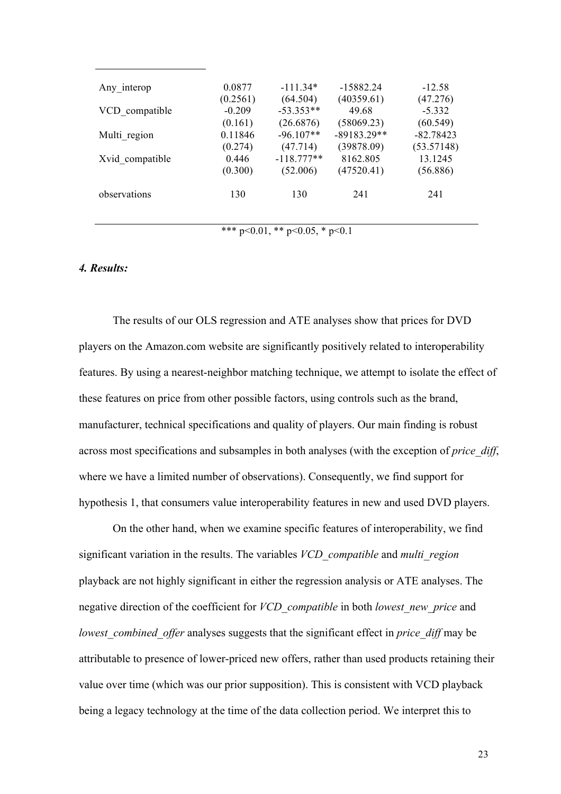| Any interop     | 0.0877<br>(0.2561) | $-111.34*$<br>(64.504) | $-15882.24$<br>(40359.61) | $-12.58$<br>(47.276) |
|-----------------|--------------------|------------------------|---------------------------|----------------------|
| VCD compatible  | $-0.209$           | $-53.353**$            | 49.68                     | $-5.332$             |
|                 | (0.161)            | (26.6876)              | (58069.23)                | (60.549)             |
| Multi region    | 0.11846            | $-96.107**$            | $-89183.29**$             | $-82.78423$          |
|                 | (0.274)            | (47.714)               | (39878.09)                | (53.57148)           |
| Xvid compatible | 0.446              | $-118.777**$           | 8162.805                  | 13.1245              |
|                 | (0.300)            | (52.006)               | (47520.41)                | (56.886)             |
| observations    | 130                | 130                    | 241                       | 241                  |

\*\*\* p<0.01, \*\* p<0.05, \* p<0.1

#### *4. Results:*

The results of our OLS regression and ATE analyses show that prices for DVD players on the Amazon.com website are significantly positively related to interoperability features. By using a nearest-neighbor matching technique, we attempt to isolate the effect of these features on price from other possible factors, using controls such as the brand, manufacturer, technical specifications and quality of players. Our main finding is robust across most specifications and subsamples in both analyses (with the exception of *price\_diff*, where we have a limited number of observations). Consequently, we find support for hypothesis 1, that consumers value interoperability features in new and used DVD players.

On the other hand, when we examine specific features of interoperability, we find significant variation in the results. The variables *VCD\_compatible* and *multi\_region* playback are not highly significant in either the regression analysis or ATE analyses. The negative direction of the coefficient for *VCD\_compatible* in both *lowest\_new\_price* and *lowest\_combined\_offer* analyses suggests that the significant effect in *price\_diff* may be attributable to presence of lower-priced new offers, rather than used products retaining their value over time (which was our prior supposition). This is consistent with VCD playback being a legacy technology at the time of the data collection period. We interpret this to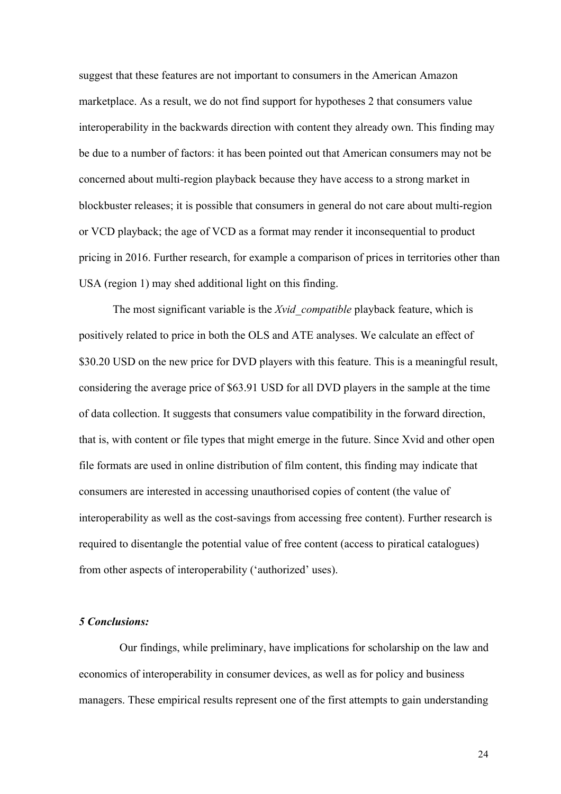suggest that these features are not important to consumers in the American Amazon marketplace. As a result, we do not find support for hypotheses 2 that consumers value interoperability in the backwards direction with content they already own. This finding may be due to a number of factors: it has been pointed out that American consumers may not be concerned about multi-region playback because they have access to a strong market in blockbuster releases; it is possible that consumers in general do not care about multi-region or VCD playback; the age of VCD as a format may render it inconsequential to product pricing in 2016. Further research, for example a comparison of prices in territories other than USA (region 1) may shed additional light on this finding.

The most significant variable is the *Xvid\_compatible* playback feature, which is positively related to price in both the OLS and ATE analyses. We calculate an effect of \$30.20 USD on the new price for DVD players with this feature. This is a meaningful result, considering the average price of \$63.91 USD for all DVD players in the sample at the time of data collection. It suggests that consumers value compatibility in the forward direction, that is, with content or file types that might emerge in the future. Since Xvid and other open file formats are used in online distribution of film content, this finding may indicate that consumers are interested in accessing unauthorised copies of content (the value of interoperability as well as the cost-savings from accessing free content). Further research is required to disentangle the potential value of free content (access to piratical catalogues) from other aspects of interoperability ('authorized' uses).

#### *5 Conclusions:*

Our findings, while preliminary, have implications for scholarship on the law and economics of interoperability in consumer devices, as well as for policy and business managers. These empirical results represent one of the first attempts to gain understanding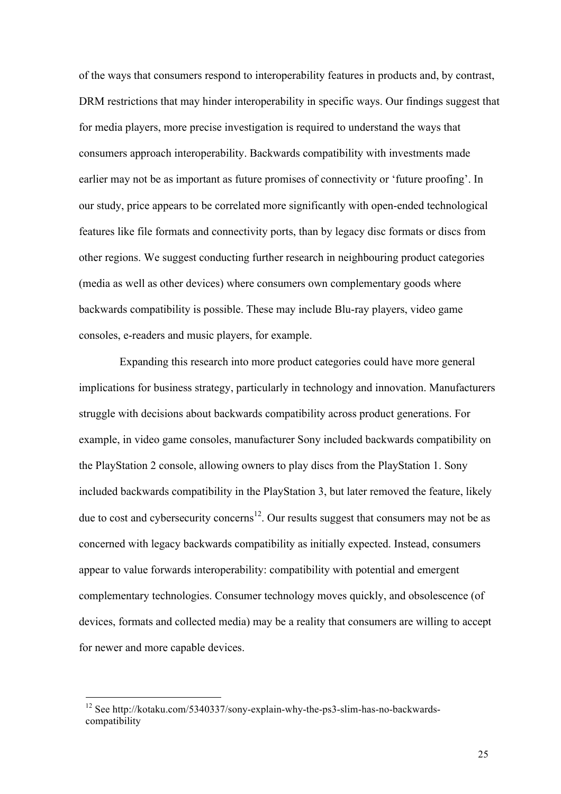of the ways that consumers respond to interoperability features in products and, by contrast, DRM restrictions that may hinder interoperability in specific ways. Our findings suggest that for media players, more precise investigation is required to understand the ways that consumers approach interoperability. Backwards compatibility with investments made earlier may not be as important as future promises of connectivity or 'future proofing'. In our study, price appears to be correlated more significantly with open-ended technological features like file formats and connectivity ports, than by legacy disc formats or discs from other regions. We suggest conducting further research in neighbouring product categories (media as well as other devices) where consumers own complementary goods where backwards compatibility is possible. These may include Blu-ray players, video game consoles, e-readers and music players, for example.

Expanding this research into more product categories could have more general implications for business strategy, particularly in technology and innovation. Manufacturers struggle with decisions about backwards compatibility across product generations. For example, in video game consoles, manufacturer Sony included backwards compatibility on the PlayStation 2 console, allowing owners to play discs from the PlayStation 1. Sony included backwards compatibility in the PlayStation 3, but later removed the feature, likely due to cost and cybersecurity concerns<sup>12</sup>. Our results suggest that consumers may not be as concerned with legacy backwards compatibility as initially expected. Instead, consumers appear to value forwards interoperability: compatibility with potential and emergent complementary technologies. Consumer technology moves quickly, and obsolescence (of devices, formats and collected media) may be a reality that consumers are willing to accept for newer and more capable devices.

<sup>12</sup> See http://kotaku.com/5340337/sony-explain-why-the-ps3-slim-has-no-backwardscompatibility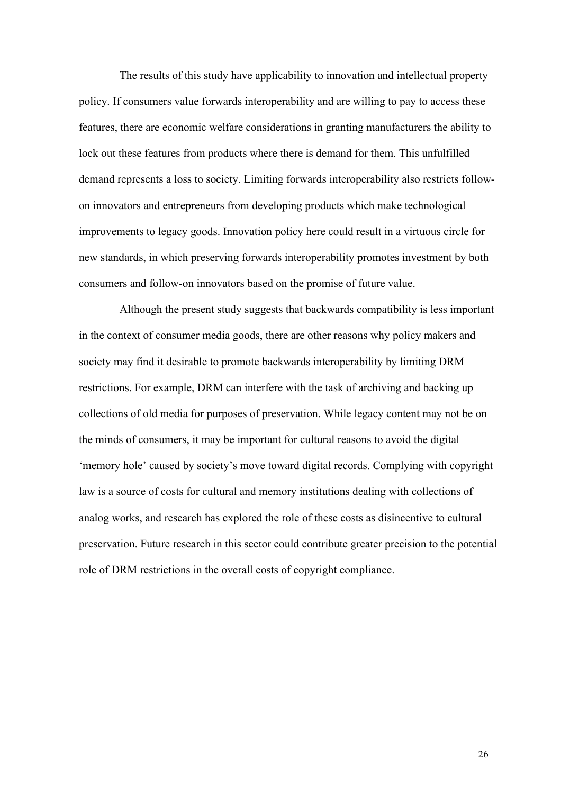The results of this study have applicability to innovation and intellectual property policy. If consumers value forwards interoperability and are willing to pay to access these features, there are economic welfare considerations in granting manufacturers the ability to lock out these features from products where there is demand for them. This unfulfilled demand represents a loss to society. Limiting forwards interoperability also restricts followon innovators and entrepreneurs from developing products which make technological improvements to legacy goods. Innovation policy here could result in a virtuous circle for new standards, in which preserving forwards interoperability promotes investment by both consumers and follow-on innovators based on the promise of future value.

Although the present study suggests that backwards compatibility is less important in the context of consumer media goods, there are other reasons why policy makers and society may find it desirable to promote backwards interoperability by limiting DRM restrictions. For example, DRM can interfere with the task of archiving and backing up collections of old media for purposes of preservation. While legacy content may not be on the minds of consumers, it may be important for cultural reasons to avoid the digital 'memory hole' caused by society's move toward digital records. Complying with copyright law is a source of costs for cultural and memory institutions dealing with collections of analog works, and research has explored the role of these costs as disincentive to cultural preservation. Future research in this sector could contribute greater precision to the potential role of DRM restrictions in the overall costs of copyright compliance.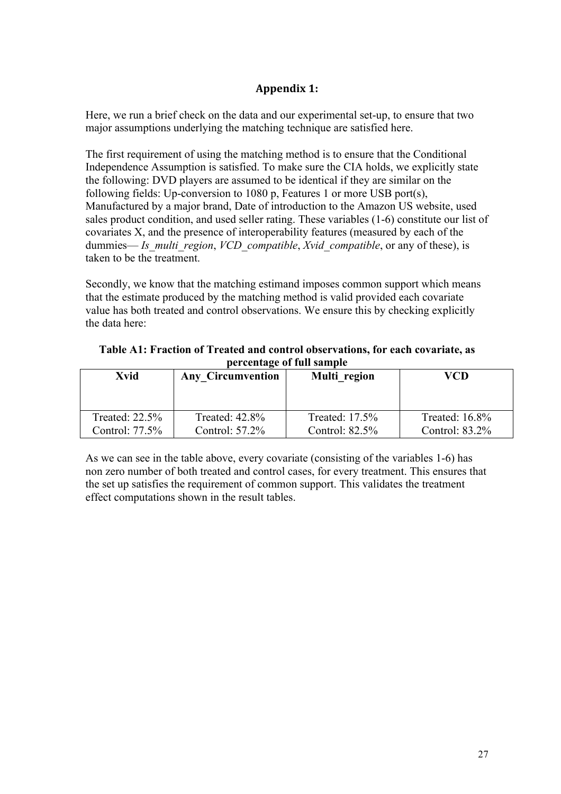## **Appendix 1:**

Here, we run a brief check on the data and our experimental set-up, to ensure that two major assumptions underlying the matching technique are satisfied here.

The first requirement of using the matching method is to ensure that the Conditional Independence Assumption is satisfied. To make sure the CIA holds, we explicitly state the following: DVD players are assumed to be identical if they are similar on the following fields: Up-conversion to 1080 p, Features 1 or more USB port(s), Manufactured by a major brand, Date of introduction to the Amazon US website, used sales product condition, and used seller rating. These variables (1-6) constitute our list of covariates X, and the presence of interoperability features (measured by each of the dummies— *Is multi region, VCD compatible, Xvid compatible*, or any of these), is taken to be the treatment.

Secondly, we know that the matching estimand imposes common support which means that the estimate produced by the matching method is valid provided each covariate value has both treated and control observations. We ensure this by checking explicitly the data here:

| Table A1: Fraction of Treated and control observations, for each covariate, as |
|--------------------------------------------------------------------------------|
| percentage of full sample                                                      |

| Xvid              | <b>Any Circumvention</b> | Multi region      | VCD               |
|-------------------|--------------------------|-------------------|-------------------|
| Treated: $22.5%$  | Treated: 42.8%           | Treated: 17.5%    | Treated: $16.8\%$ |
| Control: $77.5\%$ | Control: $57.2\%$        | Control: $82.5\%$ | Control: $83.2\%$ |

As we can see in the table above, every covariate (consisting of the variables 1-6) has non zero number of both treated and control cases, for every treatment. This ensures that the set up satisfies the requirement of common support. This validates the treatment effect computations shown in the result tables.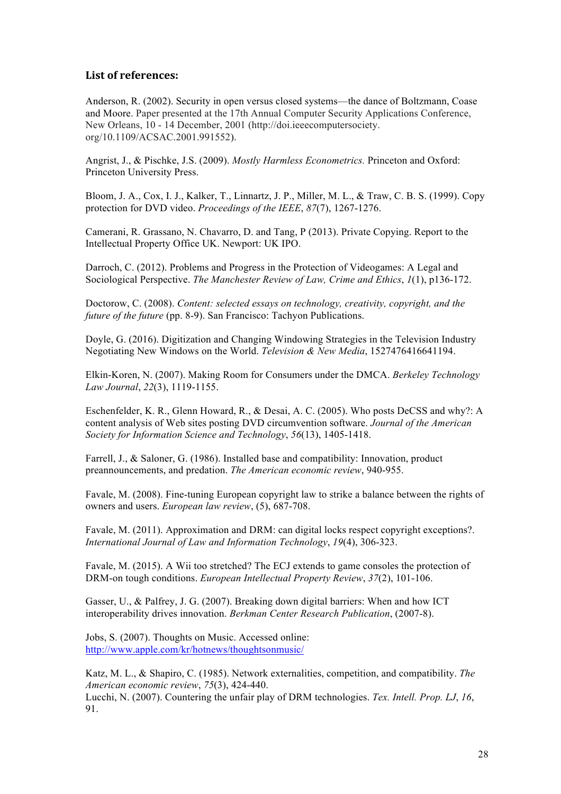## List of references:

Anderson, R. (2002). Security in open versus closed systems—the dance of Boltzmann, Coase and Moore. Paper presented at the 17th Annual Computer Security Applications Conference, New Orleans, 10 - 14 December, 2001 (http://doi.ieeecomputersociety. org/10.1109/ACSAC.2001.991552).

Angrist, J., & Pischke, J.S. (2009). *Mostly Harmless Econometrics.* Princeton and Oxford: Princeton University Press.

Bloom, J. A., Cox, I. J., Kalker, T., Linnartz, J. P., Miller, M. L., & Traw, C. B. S. (1999). Copy protection for DVD video. *Proceedings of the IEEE*, *87*(7), 1267-1276.

Camerani, R. Grassano, N. Chavarro, D. and Tang, P (2013). Private Copying. Report to the Intellectual Property Office UK. Newport: UK IPO.

Darroch, C. (2012). Problems and Progress in the Protection of Videogames: A Legal and Sociological Perspective. *The Manchester Review of Law, Crime and Ethics*, *1*(1), p136-172.

Doctorow, C. (2008). *Content: selected essays on technology, creativity, copyright, and the future of the future* (pp. 8-9). San Francisco: Tachyon Publications.

Doyle, G. (2016). Digitization and Changing Windowing Strategies in the Television Industry Negotiating New Windows on the World. *Television & New Media*, 1527476416641194.

Elkin-Koren, N. (2007). Making Room for Consumers under the DMCA. *Berkeley Technology Law Journal*, *22*(3), 1119-1155.

Eschenfelder, K. R., Glenn Howard, R., & Desai, A. C. (2005). Who posts DeCSS and why?: A content analysis of Web sites posting DVD circumvention software. *Journal of the American Society for Information Science and Technology*, *56*(13), 1405-1418.

Farrell, J., & Saloner, G. (1986). Installed base and compatibility: Innovation, product preannouncements, and predation. *The American economic review*, 940-955.

Favale, M. (2008). Fine-tuning European copyright law to strike a balance between the rights of owners and users. *European law review*, (5), 687-708.

Favale, M. (2011). Approximation and DRM: can digital locks respect copyright exceptions?. *International Journal of Law and Information Technology*, *19*(4), 306-323.

Favale, M. (2015). A Wii too stretched? The ECJ extends to game consoles the protection of DRM-on tough conditions. *European Intellectual Property Review*, *37*(2), 101-106.

Gasser, U., & Palfrey, J. G. (2007). Breaking down digital barriers: When and how ICT interoperability drives innovation. *Berkman Center Research Publication*, (2007-8).

Jobs, S. (2007). Thoughts on Music. Accessed online: http://www.apple.com/kr/hotnews/thoughtsonmusic/

Katz, M. L., & Shapiro, C. (1985). Network externalities, competition, and compatibility. *The American economic review*, *75*(3), 424-440.

Lucchi, N. (2007). Countering the unfair play of DRM technologies. *Tex. Intell. Prop. LJ*, *16*, 91.